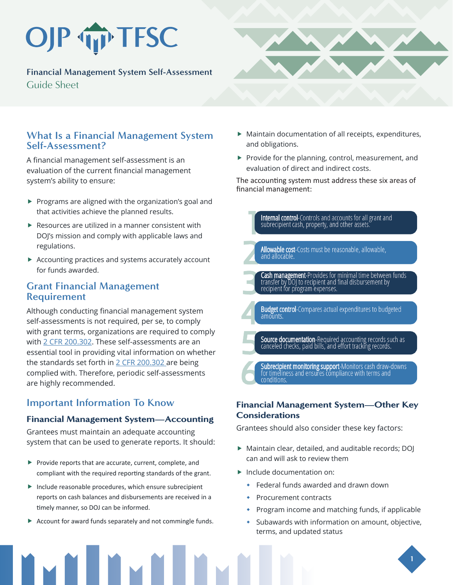# OJP TFSC

**Financial Management System Self-Assessment**  Guide Sheet



### **What Is a Financial Management System Self-Assessment?**

A financial management self-assessment is an evaluation of the current financial management system's ability to ensure:

- $\blacktriangleright$  Programs are aligned with the organization's goal and that activities achieve the planned results.
- $\blacktriangleright$  Resources are utilized in a manner consistent with DOJ's mission and comply with applicable laws and regulations.
- $\blacktriangleright$  Accounting practices and systems accurately account for funds awarded.

### **Grant Financial Management Requirement**

Although conducting financial management system self-assessments is not required, per se, to comply with grant terms, organizations are required to comply with [2 CFR 200.302](https://www.ecfr.gov/current/title-2/subtitle-A/chapter-II/part-200/subpart-D/section-200.302). These self-assessments are an essential tool in providing vital information on whether the standards set forth in  $2$  CFR 200.302 are being complied with. Therefore, periodic self-assessments are highly recommended.

# **Important Information To Know**

#### Financial Management System—Accounting

Grantees must maintain an adequate accounting system that can be used to generate reports. It should:

- $\blacktriangleright$  Provide reports that are accurate, current, complete, and compliant with the required reporting standards of the grant.
- $\blacktriangleright$  Include reasonable procedures, which ensure subrecipient reports on cash balances and disbursements are received in a timely manner, so DOJ can be informed.
- $\blacktriangleright$  Account for award funds separately and not commingle funds.
- $\blacktriangleright$  Maintain documentation of all receipts, expenditures, and obligations.
- $\blacktriangleright$  Provide for the planning, control, measurement, and evaluation of direct and indirect costs.

The accounting system must address these six areas of financial management:



#### Financial Management System—Other Key **Considerations**

Grantees should also consider these key factors:

- $\blacktriangleright$  Maintain clear, detailed, and auditable records; DOJ can and will ask to review them
- $\blacktriangleright$  Include documentation on:
	- Federal funds awarded and drawn down
	- Procurement contracts
	- Program income and matching funds, if applicable
	- Subawards with information on amount, objective, terms, and updated status

**1**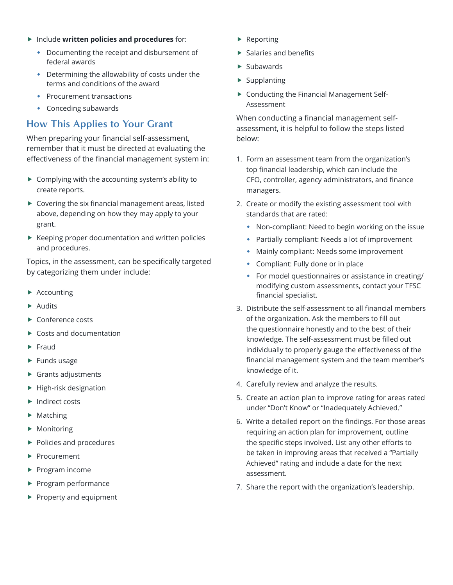- **F** Include written policies and procedures for:
	- Documenting the receipt and disbursement of federal awards
	- Determining the allowability of costs under the terms and conditions of the award
	- **•** Procurement transactions
	- Conceding subawards

## **How This Applies to Your Grant**

When preparing your financial self-assessment, remember that it must be directed at evaluating the effectiveness of the financial management system in:

- $\triangleright$  Complying with the accounting system's ability to create reports.
- $\blacktriangleright$  Covering the six financial management areas, listed above, depending on how they may apply to your grant.
- $\blacktriangleright$  Keeping proper documentation and written policies and procedures.

Topics, in the assessment, can be specifically targeted by categorizing them under include:

- $\blacktriangleright$  Accounting
- $\blacktriangleright$  Audits
- $\blacktriangleright$  Conference costs
- $\blacktriangleright$  Costs and documentation
- $\blacktriangleright$  Fraud
- $\blacktriangleright$  Funds usage
- $\blacktriangleright$  Grants adjustments
- $\blacktriangleright$  High-risk designation
- $\blacktriangleright$  Indirect costs
- $\blacktriangleright$  Matching
- $\blacktriangleright$  Monitoring
- $\blacktriangleright$  Policies and procedures
- $\blacktriangleright$  Procurement
- $\blacktriangleright$  Program income
- $\blacktriangleright$  Program performance
- $\blacktriangleright$  Property and equipment
- $\blacktriangleright$  Reporting
- $\blacktriangleright$  Salaries and benefits
- $\blacktriangleright$  Subawards
- $\blacktriangleright$  Supplanting
- $\triangleright$  Conducting the Financial Management Self-Assessment

When conducting a financial management selfassessment, it is helpful to follow the steps listed below:

- 1. Form an assessment team from the organization's top financial leadership, which can include the CFO, controller, agency administrators, and finance managers.
- 2. Create or modify the existing assessment tool with standards that are rated:
	- Non-compliant: Need to begin working on the issue
	- Partially compliant: Needs a lot of improvement
	- Mainly compliant: Needs some improvement
	- Compliant: Fully done or in place
	- For model questionnaires or assistance in creating/ modifying custom assessments, contact your TFSC financial specialist.
- 3. Distribute the self-assessment to all financial members of the organization. Ask the members to fill out the questionnaire honestly and to the best of their knowledge. The self-assessment must be filled out individually to properly gauge the effectiveness of the financial management system and the team member's knowledge of it.
- 4. Carefully review and analyze the results.
- 5. Create an action plan to improve rating for areas rated under "Don't Know" or "Inadequately Achieved."
- 6. Write a detailed report on the findings. For those areas requiring an action plan for improvement, outline the specific steps involved. List any other efforts to be taken in improving areas that received a "Partially Achieved" rating and include a date for the next assessment.
- 7. Share the report with the organization's leadership.